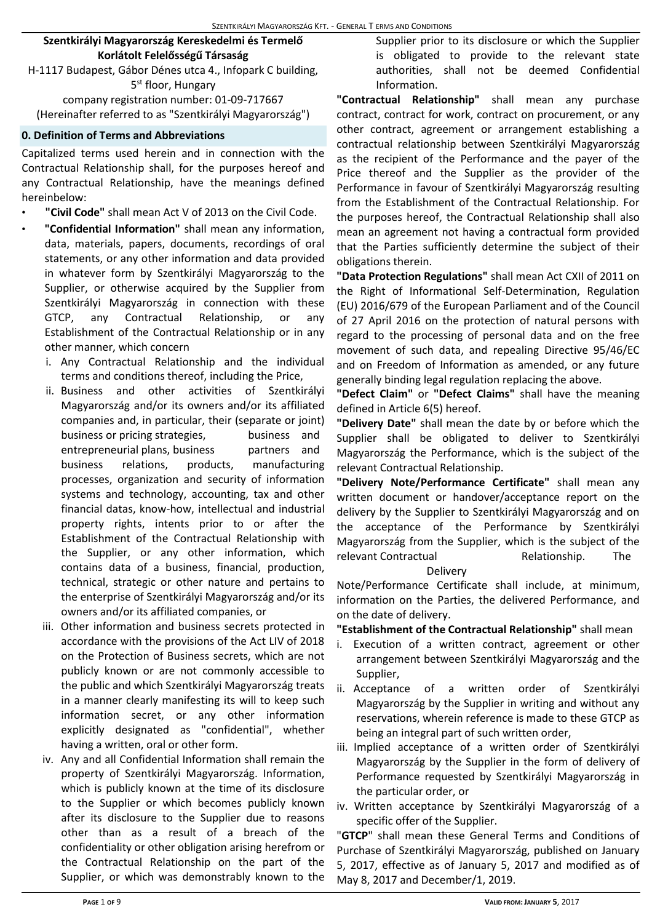## **Szentkirályi Magyarország Kereskedelmi és Termelő Korlátolt Felelősségű Társaság**

H-1117 Budapest, Gábor Dénes utca 4., Infopark C building, 5<sup>st</sup> floor, Hungary

company registration number: 01-09-717667 (Hereinafter referred to as "Szentkirályi Magyarország")

#### **0. Definition of Terms and Abbreviations**

Capitalized terms used herein and in connection with the Contractual Relationship shall, for the purposes hereof and any Contractual Relationship, have the meanings defined hereinbelow:

- **"Civil Code"** shall mean Act V of 2013 on the Civil Code.
- **"Confidential Information"** shall mean any information, data, materials, papers, documents, recordings of oral statements, or any other information and data provided in whatever form by Szentkirályi Magyarország to the Supplier, or otherwise acquired by the Supplier from Szentkirályi Magyarország in connection with these GTCP, any Contractual Relationship, or any Establishment of the Contractual Relationship or in any other manner, which concern
	- i. Any Contractual Relationship and the individual terms and conditions thereof, including the Price,
	- ii. Business and other activities of Szentkirályi Magyarország and/or its owners and/or its affiliated companies and, in particular, their (separate or joint) business or pricing strategies, business and entrepreneurial plans, business partners and business relations, products, manufacturing processes, organization and security of information systems and technology, accounting, tax and other financial datas, know-how, intellectual and industrial property rights, intents prior to or after the Establishment of the Contractual Relationship with the Supplier, or any other information, which contains data of a business, financial, production, technical, strategic or other nature and pertains to the enterprise of Szentkirályi Magyarország and/or its owners and/or its affiliated companies, or
	- iii. Other information and business secrets protected in accordance with the provisions of the Act LIV of 2018 on the Protection of Business secrets, which are not publicly known or are not commonly accessible to the public and which Szentkirályi Magyarország treats in a manner clearly manifesting its will to keep such information secret, or any other information explicitly designated as "confidential", whether having a written, oral or other form.
	- iv. Any and all Confidential Information shall remain the property of Szentkirályi Magyarország. Information, which is publicly known at the time of its disclosure to the Supplier or which becomes publicly known after its disclosure to the Supplier due to reasons other than as a result of a breach of the confidentiality or other obligation arising herefrom or the Contractual Relationship on the part of the Supplier, or which was demonstrably known to the

Supplier prior to its disclosure or which the Supplier is obligated to provide to the relevant state authorities, shall not be deemed Confidential Information.

**"Contractual Relationship"** shall mean any purchase contract, contract for work, contract on procurement, or any other contract, agreement or arrangement establishing a contractual relationship between Szentkirályi Magyarország as the recipient of the Performance and the payer of the Price thereof and the Supplier as the provider of the Performance in favour of Szentkirályi Magyarország resulting from the Establishment of the Contractual Relationship. For the purposes hereof, the Contractual Relationship shall also mean an agreement not having a contractual form provided that the Parties sufficiently determine the subject of their obligations therein.

**"Data Protection Regulations"** shall mean Act CXII of 2011 on the Right of Informational Self-Determination, Regulation (EU) 2016/679 of the European Parliament and of the Council of 27 April 2016 on the protection of natural persons with regard to the processing of personal data and on the free movement of such data, and repealing Directive 95/46/EC and on Freedom of Information as amended, or any future generally binding legal regulation replacing the above.

**"Defect Claim"** or **"Defect Claims"** shall have the meaning defined in Article 6(5) hereof.

**"Delivery Date"** shall mean the date by or before which the Supplier shall be obligated to deliver to Szentkirályi Magyarország the Performance, which is the subject of the relevant Contractual Relationship.

**"Delivery Note/Performance Certificate"** shall mean any written document or handover/acceptance report on the delivery by the Supplier to Szentkirályi Magyarország and on the acceptance of the Performance by Szentkirályi Magyarország from the Supplier, which is the subject of the relevant Contractual The Relationship. The

#### Delivery

Note/Performance Certificate shall include, at minimum, information on the Parties, the delivered Performance, and on the date of delivery.

**"Establishment of the Contractual Relationship"** shall mean

- i. Execution of a written contract, agreement or other arrangement between Szentkirályi Magyarország and the Supplier,
- ii. Acceptance of a written order of Szentkirályi Magyarország by the Supplier in writing and without any reservations, wherein reference is made to these GTCP as being an integral part of such written order,
- iii. Implied acceptance of a written order of Szentkirályi Magyarország by the Supplier in the form of delivery of Performance requested by Szentkirályi Magyarország in the particular order, or
- iv. Written acceptance by Szentkirályi Magyarország of a specific offer of the Supplier.

"**GTCP**" shall mean these General Terms and Conditions of Purchase of Szentkirályi Magyarország, published on January 5, 2017, effective as of January 5, 2017 and modified as of May 8, 2017 and December/1, 2019.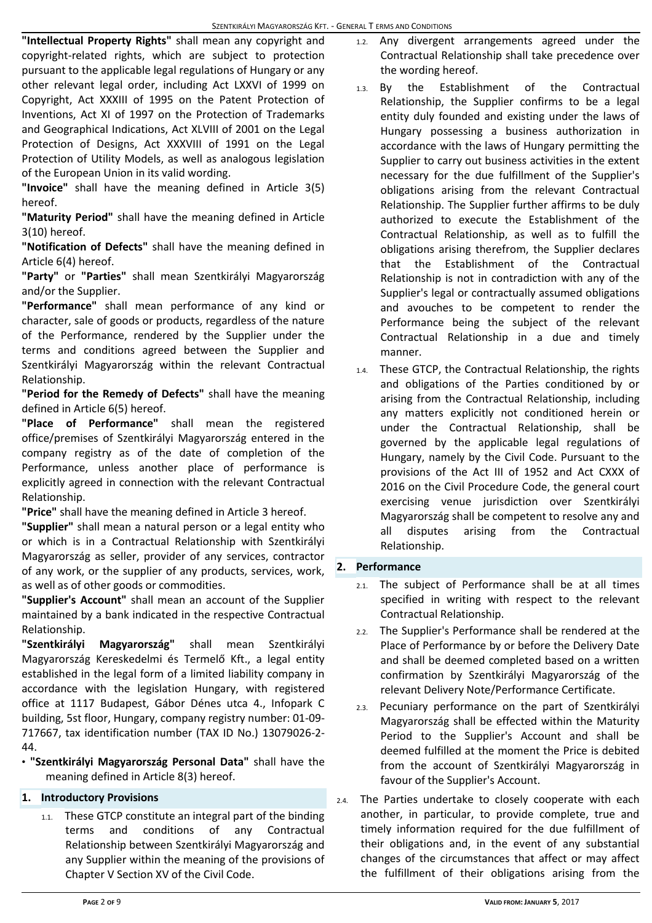**"Intellectual Property Rights"** shall mean any copyright and copyright-related rights, which are subject to protection pursuant to the applicable legal regulations of Hungary or any other relevant legal order, including Act LXXVI of 1999 on Copyright, Act XXXIII of 1995 on the Patent Protection of Inventions, Act XI of 1997 on the Protection of Trademarks and Geographical Indications, Act XLVIII of 2001 on the Legal Protection of Designs, Act XXXVIII of 1991 on the Legal Protection of Utility Models, as well as analogous legislation of the European Union in its valid wording.

**"Invoice"** shall have the meaning defined in Article 3(5) hereof.

**"Maturity Period"** shall have the meaning defined in Article 3(10) hereof.

**"Notification of Defects"** shall have the meaning defined in Article 6(4) hereof.

**"Party"** or **"Parties"** shall mean Szentkirályi Magyarország and/or the Supplier.

**"Performance"** shall mean performance of any kind or character, sale of goods or products, regardless of the nature of the Performance, rendered by the Supplier under the terms and conditions agreed between the Supplier and Szentkirályi Magyarország within the relevant Contractual Relationship.

**"Period for the Remedy of Defects"** shall have the meaning defined in Article 6(5) hereof.

**"Place of Performance"** shall mean the registered office/premises of Szentkirályi Magyarország entered in the company registry as of the date of completion of the Performance, unless another place of performance is explicitly agreed in connection with the relevant Contractual Relationship.

**"Price"** shall have the meaning defined in Article 3 hereof.

**"Supplier"** shall mean a natural person or a legal entity who or which is in a Contractual Relationship with Szentkirályi Magyarország as seller, provider of any services, contractor of any work, or the supplier of any products, services, work, as well as of other goods or commodities.

**"Supplier's Account"** shall mean an account of the Supplier maintained by a bank indicated in the respective Contractual Relationship.

**"Szentkirályi Magyarország"** shall mean Szentkirályi Magyarország Kereskedelmi és Termelő Kft., a legal entity established in the legal form of a limited liability company in accordance with the legislation Hungary, with registered office at 1117 Budapest, Gábor Dénes utca 4., Infopark C building, 5st floor, Hungary, company registry number: 01-09- 717667, tax identification number (TAX ID No.) 13079026-2- 44.

• **"Szentkirályi Magyarország Personal Data"** shall have the meaning defined in Article 8(3) hereof.

## **1. Introductory Provisions**

1.1. These GTCP constitute an integral part of the binding terms and conditions of any Contractual Relationship between Szentkirályi Magyarország and any Supplier within the meaning of the provisions of Chapter V Section XV of the Civil Code.

- 1.2. Any divergent arrangements agreed under the Contractual Relationship shall take precedence over the wording hereof.
- 1.3. By the Establishment of the Contractual Relationship, the Supplier confirms to be a legal entity duly founded and existing under the laws of Hungary possessing a business authorization in accordance with the laws of Hungary permitting the Supplier to carry out business activities in the extent necessary for the due fulfillment of the Supplier's obligations arising from the relevant Contractual Relationship. The Supplier further affirms to be duly authorized to execute the Establishment of the Contractual Relationship, as well as to fulfill the obligations arising therefrom, the Supplier declares that the Establishment of the Contractual Relationship is not in contradiction with any of the Supplier's legal or contractually assumed obligations and avouches to be competent to render the Performance being the subject of the relevant Contractual Relationship in a due and timely manner.
- 1.4. These GTCP, the Contractual Relationship, the rights and obligations of the Parties conditioned by or arising from the Contractual Relationship, including any matters explicitly not conditioned herein or under the Contractual Relationship, shall be governed by the applicable legal regulations of Hungary, namely by the Civil Code. Pursuant to the provisions of the Act III of 1952 and Act CXXX of 2016 on the Civil Procedure Code, the general court exercising venue jurisdiction over Szentkirályi Magyarország shall be competent to resolve any and all disputes arising from the Contractual Relationship.

## **2. Performance**

- 2.1. The subject of Performance shall be at all times specified in writing with respect to the relevant Contractual Relationship.
- 2.2. The Supplier's Performance shall be rendered at the Place of Performance by or before the Delivery Date and shall be deemed completed based on a written confirmation by Szentkirályi Magyarország of the relevant Delivery Note/Performance Certificate.
- 2.3. Pecuniary performance on the part of Szentkirályi Magyarország shall be effected within the Maturity Period to the Supplier's Account and shall be deemed fulfilled at the moment the Price is debited from the account of Szentkirályi Magyarország in favour of the Supplier's Account.
- The Parties undertake to closely cooperate with each another, in particular, to provide complete, true and timely information required for the due fulfillment of their obligations and, in the event of any substantial changes of the circumstances that affect or may affect the fulfillment of their obligations arising from the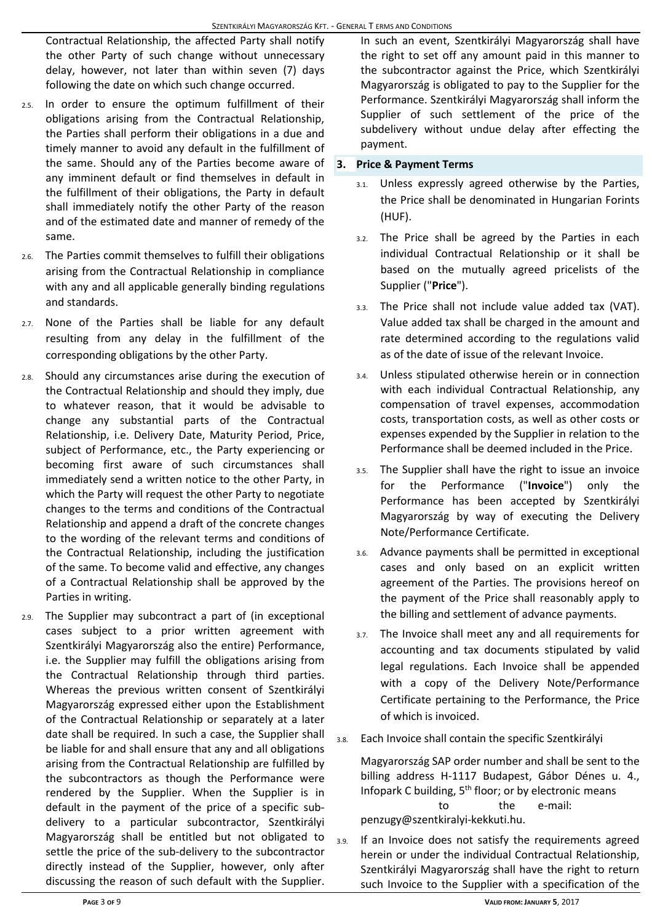Contractual Relationship, the affected Party shall notify the other Party of such change without unnecessary delay, however, not later than within seven (7) days following the date on which such change occurred.

- 2.5. In order to ensure the optimum fulfillment of their obligations arising from the Contractual Relationship, the Parties shall perform their obligations in a due and timely manner to avoid any default in the fulfillment of the same. Should any of the Parties become aware of any imminent default or find themselves in default in the fulfillment of their obligations, the Party in default shall immediately notify the other Party of the reason and of the estimated date and manner of remedy of the same.
- 2.6. The Parties commit themselves to fulfill their obligations arising from the Contractual Relationship in compliance with any and all applicable generally binding regulations and standards.
- 2.7. None of the Parties shall be liable for any default resulting from any delay in the fulfillment of the corresponding obligations by the other Party.
- 2.8. Should any circumstances arise during the execution of the Contractual Relationship and should they imply, due to whatever reason, that it would be advisable to change any substantial parts of the Contractual Relationship, i.e. Delivery Date, Maturity Period, Price, subject of Performance, etc., the Party experiencing or becoming first aware of such circumstances shall immediately send a written notice to the other Party, in which the Party will request the other Party to negotiate changes to the terms and conditions of the Contractual Relationship and append a draft of the concrete changes to the wording of the relevant terms and conditions of the Contractual Relationship, including the justification of the same. To become valid and effective, any changes of a Contractual Relationship shall be approved by the Parties in writing.
- 2.9. The Supplier may subcontract a part of (in exceptional cases subject to a prior written agreement with Szentkirályi Magyarország also the entire) Performance, i.e. the Supplier may fulfill the obligations arising from the Contractual Relationship through third parties. Whereas the previous written consent of Szentkirályi Magyarország expressed either upon the Establishment of the Contractual Relationship or separately at a later date shall be required. In such a case, the Supplier shall be liable for and shall ensure that any and all obligations arising from the Contractual Relationship are fulfilled by the subcontractors as though the Performance were rendered by the Supplier. When the Supplier is in default in the payment of the price of a specific subdelivery to a particular subcontractor, Szentkirályi Magyarország shall be entitled but not obligated to settle the price of the sub-delivery to the subcontractor directly instead of the Supplier, however, only after discussing the reason of such default with the Supplier.

In such an event, Szentkirályi Magyarország shall have the right to set off any amount paid in this manner to the subcontractor against the Price, which Szentkirályi Magyarország is obligated to pay to the Supplier for the Performance. Szentkirályi Magyarország shall inform the Supplier of such settlement of the price of the subdelivery without undue delay after effecting the payment.

## **3. Price & Payment Terms**

- Unless expressly agreed otherwise by the Parties, the Price shall be denominated in Hungarian Forints (HUF).
- 3.2. The Price shall be agreed by the Parties in each individual Contractual Relationship or it shall be based on the mutually agreed pricelists of the Supplier ("**Price**").
- 3.3. The Price shall not include value added tax (VAT). Value added tax shall be charged in the amount and rate determined according to the regulations valid as of the date of issue of the relevant Invoice.
- 3.4. Unless stipulated otherwise herein or in connection with each individual Contractual Relationship, any compensation of travel expenses, accommodation costs, transportation costs, as well as other costs or expenses expended by the Supplier in relation to the Performance shall be deemed included in the Price.
- 3.5. The Supplier shall have the right to issue an invoice for the Performance ("**Invoice**") only the Performance has been accepted by Szentkirályi Magyarország by way of executing the Delivery Note/Performance Certificate.
- 3.6. Advance payments shall be permitted in exceptional cases and only based on an explicit written agreement of the Parties. The provisions hereof on the payment of the Price shall reasonably apply to the billing and settlement of advance payments.
- 3.7. The Invoice shall meet any and all requirements for accounting and tax documents stipulated by valid legal regulations. Each Invoice shall be appended with a copy of the Delivery Note/Performance Certificate pertaining to the Performance, the Price of which is invoiced.
- 3.8. Each Invoice shall contain the specific Szentkirályi

Magyarország SAP order number and shall be sent to the billing address H-1117 Budapest, Gábor Dénes u. 4., Infopark C building, 5<sup>th</sup> floor; or by electronic means to the e-mail: [penzugy@szentkiralyi-kekkuti.hu.](mailto:penzugy@szentkiralyi-kekkuti.hu)

3.9. If an Invoice does not satisfy the requirements agreed herein or under the individual Contractual Relationship, Szentkirályi Magyarország shall have the right to return such Invoice to the Supplier with a specification of the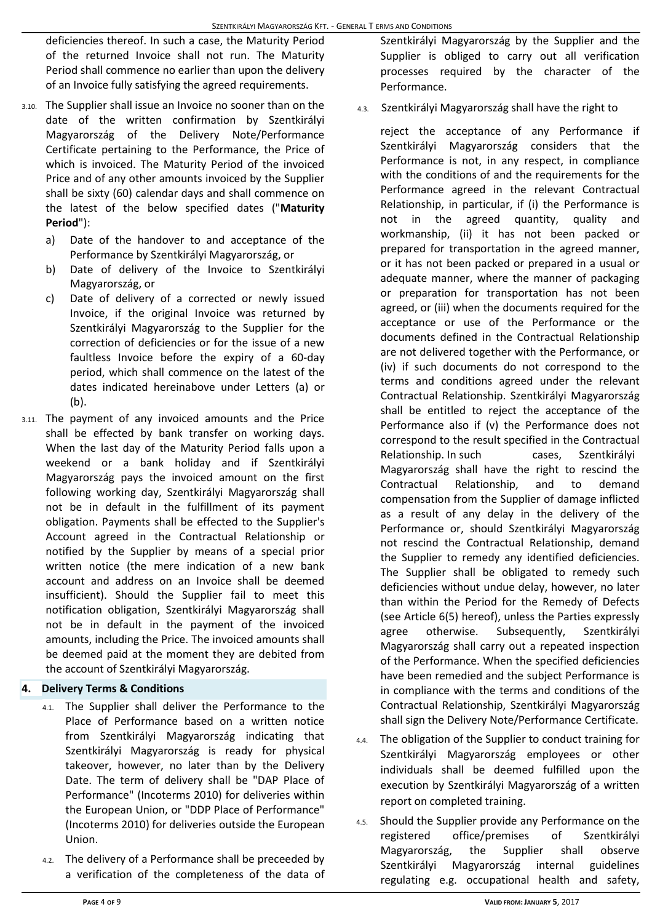deficiencies thereof. In such a case, the Maturity Period of the returned Invoice shall not run. The Maturity Period shall commence no earlier than upon the delivery of an Invoice fully satisfying the agreed requirements.

- 3.10. The Supplier shall issue an Invoice no sooner than on the date of the written confirmation by Szentkirályi Magyarország of the Delivery Note/Performance Certificate pertaining to the Performance, the Price of which is invoiced. The Maturity Period of the invoiced Price and of any other amounts invoiced by the Supplier shall be sixty (60) calendar days and shall commence on the latest of the below specified dates ("**Maturity Period**"):
	- a) Date of the handover to and acceptance of the Performance by Szentkirályi Magyarország, or
	- b) Date of delivery of the Invoice to Szentkirályi Magyarország, or
	- c) Date of delivery of a corrected or newly issued Invoice, if the original Invoice was returned by Szentkirályi Magyarország to the Supplier for the correction of deficiencies or for the issue of a new faultless Invoice before the expiry of a 60-day period, which shall commence on the latest of the dates indicated hereinabove under Letters (a) or (b).
- 3.11. The payment of any invoiced amounts and the Price shall be effected by bank transfer on working days. When the last day of the Maturity Period falls upon a weekend or a bank holiday and if Szentkirályi Magyarország pays the invoiced amount on the first following working day, Szentkirályi Magyarország shall not be in default in the fulfillment of its payment obligation. Payments shall be effected to the Supplier's Account agreed in the Contractual Relationship or notified by the Supplier by means of a special prior written notice (the mere indication of a new bank account and address on an Invoice shall be deemed insufficient). Should the Supplier fail to meet this notification obligation, Szentkirályi Magyarország shall not be in default in the payment of the invoiced amounts, including the Price. The invoiced amounts shall be deemed paid at the moment they are debited from the account of Szentkirályi Magyarország.

#### **4. Delivery Terms & Conditions**

- 4.1. The Supplier shall deliver the Performance to the Place of Performance based on a written notice from Szentkirályi Magyarország indicating that Szentkirályi Magyarország is ready for physical takeover, however, no later than by the Delivery Date. The term of delivery shall be "DAP Place of Performance" (Incoterms 2010) for deliveries within the European Union, or "DDP Place of Performance" (Incoterms 2010) for deliveries outside the European Union.
- 4.2. The delivery of a Performance shall be preceeded by a verification of the completeness of the data of

Szentkirályi Magyarország by the Supplier and the Supplier is obliged to carry out all verification processes required by the character of the Performance.

4.3. Szentkirályi Magyarország shall have the right to

reject the acceptance of any Performance if Szentkirályi Magyarország considers that the Performance is not, in any respect, in compliance with the conditions of and the requirements for the Performance agreed in the relevant Contractual Relationship, in particular, if (i) the Performance is not in the agreed quantity, quality and workmanship, (ii) it has not been packed or prepared for transportation in the agreed manner, or it has not been packed or prepared in a usual or adequate manner, where the manner of packaging or preparation for transportation has not been agreed, or (iii) when the documents required for the acceptance or use of the Performance or the documents defined in the Contractual Relationship are not delivered together with the Performance, or (iv) if such documents do not correspond to the terms and conditions agreed under the relevant Contractual Relationship. Szentkirályi Magyarország shall be entitled to reject the acceptance of the Performance also if (v) the Performance does not correspond to the result specified in the Contractual Relationship. In such cases, Szentkirályi Magyarország shall have the right to rescind the Contractual Relationship, and to demand compensation from the Supplier of damage inflicted as a result of any delay in the delivery of the Performance or, should Szentkirályi Magyarország not rescind the Contractual Relationship, demand the Supplier to remedy any identified deficiencies. The Supplier shall be obligated to remedy such deficiencies without undue delay, however, no later than within the Period for the Remedy of Defects (see Article 6(5) hereof), unless the Parties expressly agree otherwise. Subsequently, Szentkirályi Magyarország shall carry out a repeated inspection of the Performance. When the specified deficiencies have been remedied and the subject Performance is in compliance with the terms and conditions of the Contractual Relationship, Szentkirályi Magyarország shall sign the Delivery Note/Performance Certificate.

- 4.4. The obligation of the Supplier to conduct training for Szentkirályi Magyarország employees or other individuals shall be deemed fulfilled upon the execution by Szentkirályi Magyarország of a written report on completed training.
- 4.5. Should the Supplier provide any Performance on the registered office/premises of Szentkirályi Magyarország, the Supplier shall observe Szentkirályi Magyarország internal guidelines regulating e.g. occupational health and safety,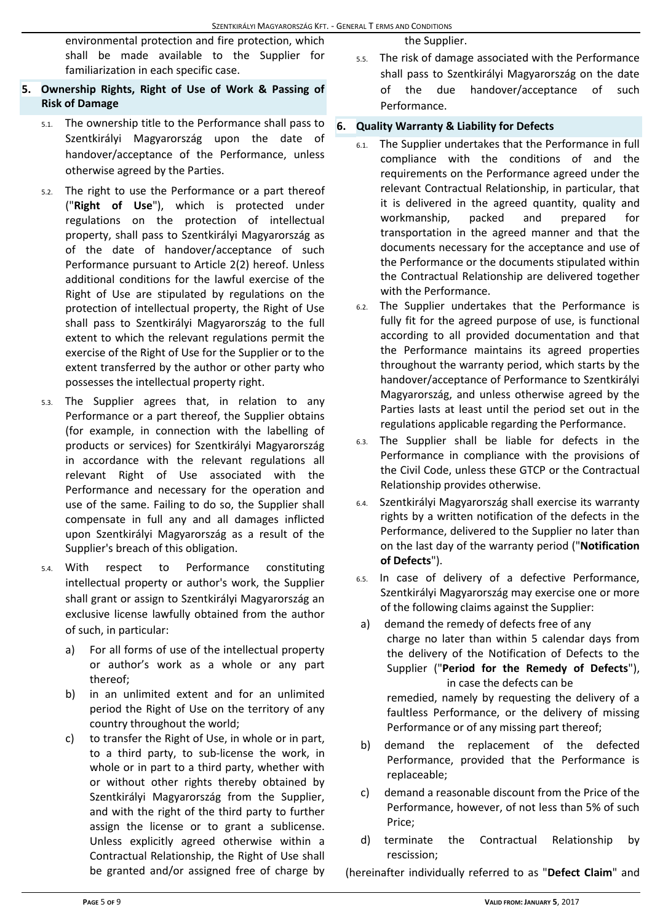environmental protection and fire protection, which shall be made available to the Supplier for familiarization in each specific case.

# **5. Ownership Rights, Right of Use of Work & Passing of Risk of Damage**

- 5.1. The ownership title to the Performance shall pass to Szentkirályi Magyarország upon the date of handover/acceptance of the Performance, unless otherwise agreed by the Parties.
- 5.2. The right to use the Performance or a part thereof ("**Right of Use**"), which is protected under regulations on the protection of intellectual property, shall pass to Szentkirályi Magyarország as of the date of handover/acceptance of such Performance pursuant to Article 2(2) hereof. Unless additional conditions for the lawful exercise of the Right of Use are stipulated by regulations on the protection of intellectual property, the Right of Use shall pass to Szentkirályi Magyarország to the full extent to which the relevant regulations permit the exercise of the Right of Use for the Supplier or to the extent transferred by the author or other party who possesses the intellectual property right.
- 5.3. The Supplier agrees that, in relation to any Performance or a part thereof, the Supplier obtains (for example, in connection with the labelling of products or services) for Szentkirályi Magyarország in accordance with the relevant regulations all relevant Right of Use associated with the Performance and necessary for the operation and use of the same. Failing to do so, the Supplier shall compensate in full any and all damages inflicted upon Szentkirályi Magyarország as a result of the Supplier's breach of this obligation.
- 5.4. With respect to Performance constituting intellectual property or author's work, the Supplier shall grant or assign to Szentkirályi Magyarország an exclusive license lawfully obtained from the author of such, in particular:
	- a) For all forms of use of the intellectual property or author's work as a whole or any part thereof;
	- b) in an unlimited extent and for an unlimited period the Right of Use on the territory of any country throughout the world;
	- c) to transfer the Right of Use, in whole or in part, to a third party, to sub-license the work, in whole or in part to a third party, whether with or without other rights thereby obtained by Szentkirályi Magyarország from the Supplier, and with the right of the third party to further assign the license or to grant a sublicense. Unless explicitly agreed otherwise within a Contractual Relationship, the Right of Use shall be granted and/or assigned free of charge by

the Supplier.

5.5. The risk of damage associated with the Performance shall pass to Szentkirályi Magyarország on the date of the due handover/acceptance of such Performance.

## **6. Quality Warranty & Liability for Defects**

- 6.1. The Supplier undertakes that the Performance in full compliance with the conditions of and the requirements on the Performance agreed under the relevant Contractual Relationship, in particular, that it is delivered in the agreed quantity, quality and workmanship, packed and prepared for transportation in the agreed manner and that the documents necessary for the acceptance and use of the Performance or the documents stipulated within the Contractual Relationship are delivered together with the Performance.
- 6.2. The Supplier undertakes that the Performance is fully fit for the agreed purpose of use, is functional according to all provided documentation and that the Performance maintains its agreed properties throughout the warranty period, which starts by the handover/acceptance of Performance to Szentkirályi Magyarország, and unless otherwise agreed by the Parties lasts at least until the period set out in the regulations applicable regarding the Performance.
- 6.3. The Supplier shall be liable for defects in the Performance in compliance with the provisions of the Civil Code, unless these GTCP or the Contractual Relationship provides otherwise.
- 6.4. Szentkirályi Magyarország shall exercise its warranty rights by a written notification of the defects in the Performance, delivered to the Supplier no later than on the last day of the warranty period ("**Notification of Defects**").
- 6.5. In case of delivery of a defective Performance, Szentkirályi Magyarország may exercise one or more of the following claims against the Supplier:
- a) demand the remedy of defects free of any charge no later than within 5 calendar days from the delivery of the Notification of Defects to the Supplier ("**Period for the Remedy of Defects**"), in case the defects can be

remedied, namely by requesting the delivery of a faultless Performance, or the delivery of missing Performance or of any missing part thereof;

- b) demand the replacement of the defected Performance, provided that the Performance is replaceable;
- c) demand a reasonable discount from the Price of the Performance, however, of not less than 5% of such Price;
- d) terminate the Contractual Relationship by rescission;

(hereinafter individually referred to as "**Defect Claim**" and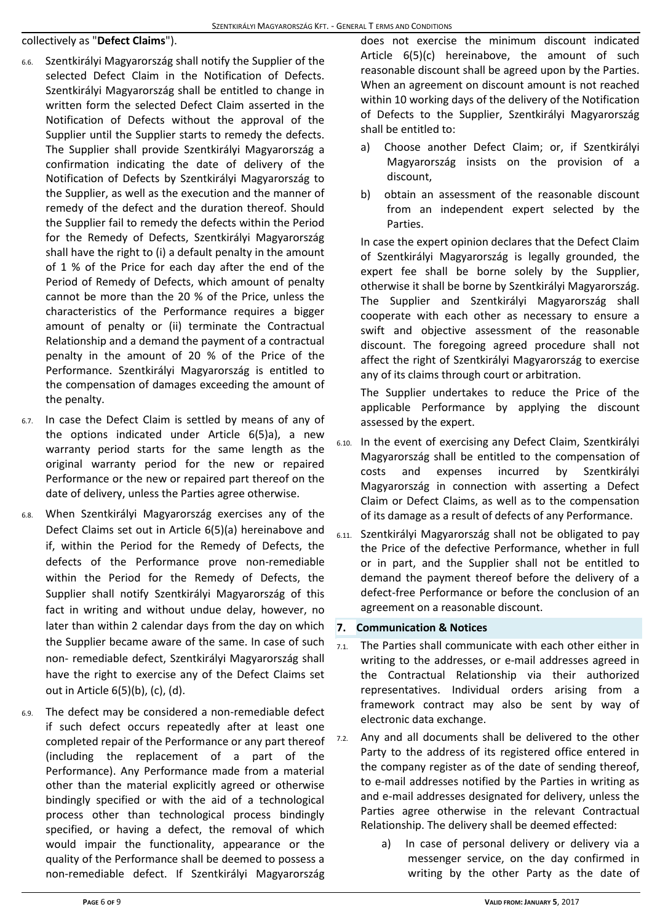#### collectively as "**Defect Claims**").

- 6.6. Szentkirályi Magyarország shall notify the Supplier of the selected Defect Claim in the Notification of Defects. Szentkirályi Magyarország shall be entitled to change in written form the selected Defect Claim asserted in the Notification of Defects without the approval of the Supplier until the Supplier starts to remedy the defects. The Supplier shall provide Szentkirályi Magyarország a confirmation indicating the date of delivery of the Notification of Defects by Szentkirályi Magyarország to the Supplier, as well as the execution and the manner of remedy of the defect and the duration thereof. Should the Supplier fail to remedy the defects within the Period for the Remedy of Defects, Szentkirályi Magyarország shall have the right to (i) a default penalty in the amount of 1 % of the Price for each day after the end of the Period of Remedy of Defects, which amount of penalty cannot be more than the 20 % of the Price, unless the characteristics of the Performance requires a bigger amount of penalty or (ii) terminate the Contractual Relationship and a demand the payment of a contractual penalty in the amount of 20 % of the Price of the Performance. Szentkirályi Magyarország is entitled to the compensation of damages exceeding the amount of the penalty.
- 6.7. In case the Defect Claim is settled by means of any of the options indicated under Article 6(5)a), a new warranty period starts for the same length as the original warranty period for the new or repaired Performance or the new or repaired part thereof on the date of delivery, unless the Parties agree otherwise.
- 6.8. When Szentkirályi Magyarország exercises any of the Defect Claims set out in Article 6(5)(a) hereinabove and if, within the Period for the Remedy of Defects, the defects of the Performance prove non-remediable within the Period for the Remedy of Defects, the Supplier shall notify Szentkirályi Magyarország of this fact in writing and without undue delay, however, no later than within 2 calendar days from the day on which the Supplier became aware of the same. In case of such non- remediable defect, Szentkirályi Magyarország shall have the right to exercise any of the Defect Claims set out in Article 6(5)(b), (c), (d).
- 6.9. The defect may be considered a non-remediable defect if such defect occurs repeatedly after at least one completed repair of the Performance or any part thereof (including the replacement of a part of the Performance). Any Performance made from a material other than the material explicitly agreed or otherwise bindingly specified or with the aid of a technological process other than technological process bindingly specified, or having a defect, the removal of which would impair the functionality, appearance or the quality of the Performance shall be deemed to possess a non-remediable defect. If Szentkirályi Magyarország

does not exercise the minimum discount indicated Article 6(5)(c) hereinabove, the amount of such reasonable discount shall be agreed upon by the Parties. When an agreement on discount amount is not reached within 10 working days of the delivery of the Notification of Defects to the Supplier, Szentkirályi Magyarország shall be entitled to:

- a) Choose another Defect Claim; or, if Szentkirályi Magyarország insists on the provision of a discount,
- b) obtain an assessment of the reasonable discount from an independent expert selected by the Parties.

In case the expert opinion declares that the Defect Claim of Szentkirályi Magyarország is legally grounded, the expert fee shall be borne solely by the Supplier, otherwise it shall be borne by Szentkirályi Magyarország. The Supplier and Szentkirályi Magyarország shall cooperate with each other as necessary to ensure a swift and objective assessment of the reasonable discount. The foregoing agreed procedure shall not affect the right of Szentkirályi Magyarország to exercise any of its claims through court or arbitration.

The Supplier undertakes to reduce the Price of the applicable Performance by applying the discount assessed by the expert.

- 6.10. In the event of exercising any Defect Claim, Szentkirályi Magyarország shall be entitled to the compensation of costs and expenses incurred by Szentkirályi Magyarország in connection with asserting a Defect Claim or Defect Claims, as well as to the compensation of its damage as a result of defects of any Performance.
- 6.11. Szentkirályi Magyarország shall not be obligated to pay the Price of the defective Performance, whether in full or in part, and the Supplier shall not be entitled to demand the payment thereof before the delivery of a defect-free Performance or before the conclusion of an agreement on a reasonable discount.

#### **7. Communication & Notices**

- 7.1. The Parties shall communicate with each other either in writing to the addresses, or e-mail addresses agreed in the Contractual Relationship via their authorized representatives. Individual orders arising from a framework contract may also be sent by way of electronic data exchange.
- 7.2. Any and all documents shall be delivered to the other Party to the address of its registered office entered in the company register as of the date of sending thereof, to e-mail addresses notified by the Parties in writing as and e-mail addresses designated for delivery, unless the Parties agree otherwise in the relevant Contractual Relationship. The delivery shall be deemed effected:
	- a) In case of personal delivery or delivery via a messenger service, on the day confirmed in writing by the other Party as the date of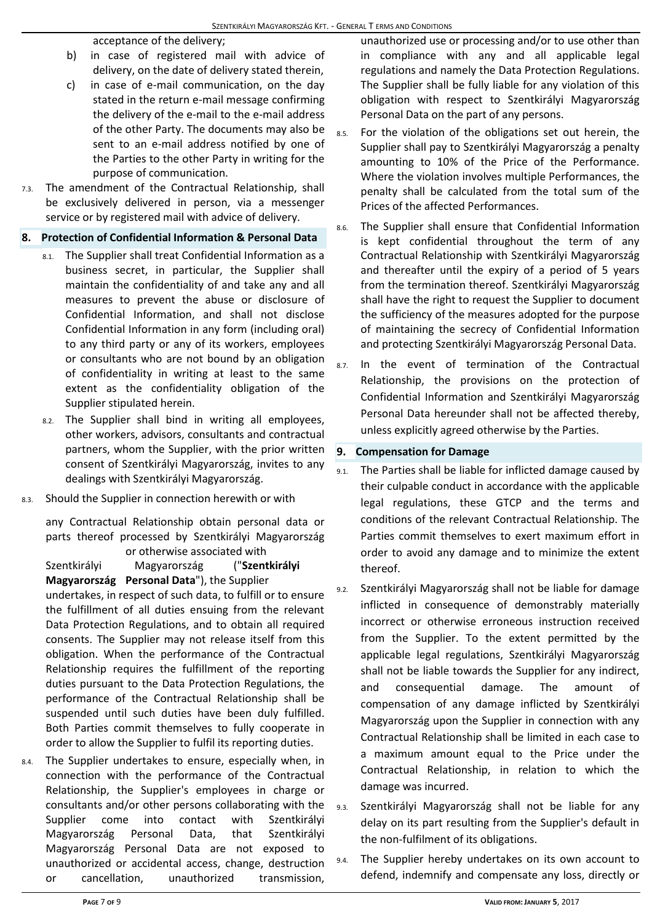acceptance of the delivery;

- b) in case of registered mail with advice of delivery, on the date of delivery stated therein,
- c) in case of e-mail communication, on the day stated in the return e-mail message confirming the delivery of the e-mail to the e-mail address of the other Party. The documents may also be sent to an e-mail address notified by one of the Parties to the other Party in writing for the purpose of communication.
- 7.3. The amendment of the Contractual Relationship, shall be exclusively delivered in person, via a messenger service or by registered mail with advice of delivery.

### **8. Protection of Confidential Information & Personal Data**

- 8.1. The Supplier shall treat Confidential Information as a business secret, in particular, the Supplier shall maintain the confidentiality of and take any and all measures to prevent the abuse or disclosure of Confidential Information, and shall not disclose Confidential Information in any form (including oral) to any third party or any of its workers, employees or consultants who are not bound by an obligation of confidentiality in writing at least to the same extent as the confidentiality obligation of the Supplier stipulated herein.
- 8.2. The Supplier shall bind in writing all employees, other workers, advisors, consultants and contractual partners, whom the Supplier, with the prior written consent of Szentkirályi Magyarország, invites to any dealings with Szentkirályi Magyarország.
- 8.3. Should the Supplier in connection herewith or with

any Contractual Relationship obtain personal data or parts thereof processed by Szentkirályi Magyarország or otherwise associated with

Szentkirályi Magyarország ("**Szentkirályi Magyarország Personal Data**"), the Supplier undertakes, in respect of such data, to fulfill or to ensure the fulfillment of all duties ensuing from the relevant Data Protection Regulations, and to obtain all required consents. The Supplier may not release itself from this obligation. When the performance of the Contractual Relationship requires the fulfillment of the reporting duties pursuant to the Data Protection Regulations, the performance of the Contractual Relationship shall be suspended until such duties have been duly fulfilled. Both Parties commit themselves to fully cooperate in order to allow the Supplier to fulfil its reporting duties.

8.4. The Supplier undertakes to ensure, especially when, in connection with the performance of the Contractual Relationship, the Supplier's employees in charge or consultants and/or other persons collaborating with the Supplier come into contact with Szentkirályi Magyarország Personal Data, that Szentkirályi Magyarország Personal Data are not exposed to unauthorized or accidental access, change, destruction or cancellation, unauthorized transmission,

unauthorized use or processing and/or to use other than in compliance with any and all applicable legal regulations and namely the Data Protection Regulations. The Supplier shall be fully liable for any violation of this obligation with respect to Szentkirályi Magyarország Personal Data on the part of any persons.

- 8.5. For the violation of the obligations set out herein, the Supplier shall pay to Szentkirályi Magyarország a penalty amounting to 10% of the Price of the Performance. Where the violation involves multiple Performances, the penalty shall be calculated from the total sum of the Prices of the affected Performances.
- 8.6. The Supplier shall ensure that Confidential Information is kept confidential throughout the term of any Contractual Relationship with Szentkirályi Magyarország and thereafter until the expiry of a period of 5 years from the termination thereof. Szentkirályi Magyarország shall have the right to request the Supplier to document the sufficiency of the measures adopted for the purpose of maintaining the secrecy of Confidential Information and protecting Szentkirályi Magyarország Personal Data.
- 8.7. In the event of termination of the Contractual Relationship, the provisions on the protection of Confidential Information and Szentkirályi Magyarország Personal Data hereunder shall not be affected thereby, unless explicitly agreed otherwise by the Parties.

## **9. Compensation for Damage**

- 9.1. The Parties shall be liable for inflicted damage caused by their culpable conduct in accordance with the applicable legal regulations, these GTCP and the terms and conditions of the relevant Contractual Relationship. The Parties commit themselves to exert maximum effort in order to avoid any damage and to minimize the extent thereof.
- Szentkirályi Magyarország shall not be liable for damage inflicted in consequence of demonstrably materially incorrect or otherwise erroneous instruction received from the Supplier. To the extent permitted by the applicable legal regulations, Szentkirályi Magyarország shall not be liable towards the Supplier for any indirect, and consequential damage. The amount of compensation of any damage inflicted by Szentkirályi Magyarország upon the Supplier in connection with any Contractual Relationship shall be limited in each case to a maximum amount equal to the Price under the Contractual Relationship, in relation to which the damage was incurred.
- 9.3. Szentkirályi Magyarország shall not be liable for any delay on its part resulting from the Supplier's default in the non-fulfilment of its obligations.
- 9.4. The Supplier hereby undertakes on its own account to defend, indemnify and compensate any loss, directly or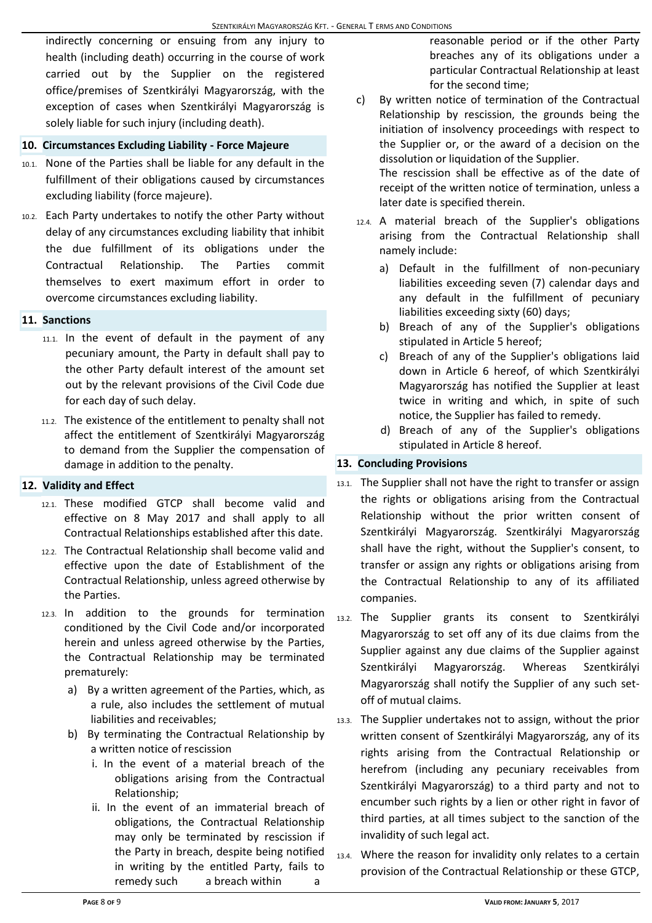indirectly concerning or ensuing from any injury to health (including death) occurring in the course of work carried out by the Supplier on the registered office/premises of Szentkirályi Magyarország, with the exception of cases when Szentkirályi Magyarország is solely liable for such injury (including death).

#### **10. Circumstances Excluding Liability - Force Majeure**

- 10.1. None of the Parties shall be liable for any default in the fulfillment of their obligations caused by circumstances excluding liability (force majeure).
- 10.2. Each Party undertakes to notify the other Party without delay of any circumstances excluding liability that inhibit the due fulfillment of its obligations under the Contractual Relationship. The Parties commit themselves to exert maximum effort in order to overcome circumstances excluding liability.

#### **11. Sanctions**

- 11.1. In the event of default in the payment of any pecuniary amount, the Party in default shall pay to the other Party default interest of the amount set out by the relevant provisions of the Civil Code due for each day of such delay.
- 11.2. The existence of the entitlement to penalty shall not affect the entitlement of Szentkirályi Magyarország to demand from the Supplier the compensation of damage in addition to the penalty.

#### **12. Validity and Effect**

- 12.1. These modified GTCP shall become valid and effective on 8 May 2017 and shall apply to all Contractual Relationships established after this date.
- 12.2. The Contractual Relationship shall become valid and effective upon the date of Establishment of the Contractual Relationship, unless agreed otherwise by the Parties.
- 12.3. In addition to the grounds for termination conditioned by the Civil Code and/or incorporated herein and unless agreed otherwise by the Parties, the Contractual Relationship may be terminated prematurely:
	- a) By a written agreement of the Parties, which, as a rule, also includes the settlement of mutual liabilities and receivables;
	- b) By terminating the Contractual Relationship by a written notice of rescission
		- i. In the event of a material breach of the obligations arising from the Contractual Relationship;
		- ii. In the event of an immaterial breach of obligations, the Contractual Relationship may only be terminated by rescission if the Party in breach, despite being notified in writing by the entitled Party, fails to remedy such a breach within a

reasonable period or if the other Party breaches any of its obligations under a particular Contractual Relationship at least for the second time;

c) By written notice of termination of the Contractual Relationship by rescission, the grounds being the initiation of insolvency proceedings with respect to the Supplier or, or the award of a decision on the dissolution or liquidation of the Supplier.

The rescission shall be effective as of the date of receipt of the written notice of termination, unless a later date is specified therein.

- 12.4. A material breach of the Supplier's obligations arising from the Contractual Relationship shall namely include:
	- a) Default in the fulfillment of non-pecuniary liabilities exceeding seven (7) calendar days and any default in the fulfillment of pecuniary liabilities exceeding sixty (60) days;
	- b) Breach of any of the Supplier's obligations stipulated in Article 5 hereof;
	- c) Breach of any of the Supplier's obligations laid down in Article 6 hereof, of which Szentkirályi Magyarország has notified the Supplier at least twice in writing and which, in spite of such notice, the Supplier has failed to remedy.
	- d) Breach of any of the Supplier's obligations stipulated in Article 8 hereof.

## **13. Concluding Provisions**

- 13.1. The Supplier shall not have the right to transfer or assign the rights or obligations arising from the Contractual Relationship without the prior written consent of Szentkirályi Magyarország. Szentkirályi Magyarország shall have the right, without the Supplier's consent, to transfer or assign any rights or obligations arising from the Contractual Relationship to any of its affiliated companies.
- 13.2. The Supplier grants its consent to Szentkirályi Magyarország to set off any of its due claims from the Supplier against any due claims of the Supplier against Szentkirályi Magyarország. Whereas Szentkirályi Magyarország shall notify the Supplier of any such setoff of mutual claims.
- 13.3. The Supplier undertakes not to assign, without the prior written consent of Szentkirályi Magyarország, any of its rights arising from the Contractual Relationship or herefrom (including any pecuniary receivables from Szentkirályi Magyarország) to a third party and not to encumber such rights by a lien or other right in favor of third parties, at all times subject to the sanction of the invalidity of such legal act.
- 13.4. Where the reason for invalidity only relates to a certain provision of the Contractual Relationship or these GTCP,